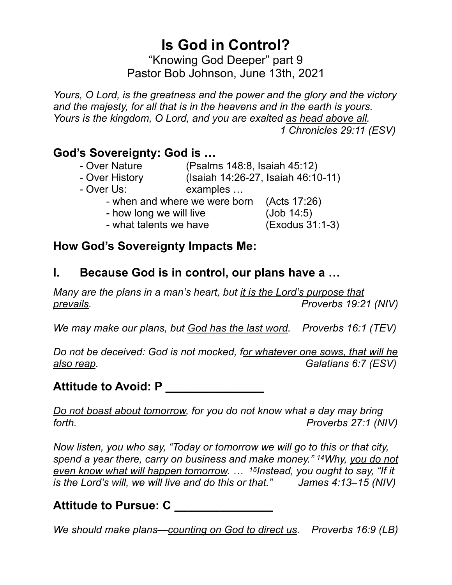# **Is God in Control?**

"Knowing God Deeper" part 9 Pastor Bob Johnson, June 13th, 2021

*Yours, O Lord, is the greatness and the power and the glory and the victory and the majesty, for all that is in the heavens and in the earth is yours. Yours is the kingdom, O Lord, and you are exalted as head above all. 1 Chronicles 29:11 (ESV)*

### **God's Sovereignty: God is …**

- Over Nature (Psalms 148:8, Isaiah 45:12)
- Over History (Isaiah 14:26-27, Isaiah 46:10-11)
- Over Us: examples …
	- when and where we were born (Acts 17:26)
	- how long we will live (Job 14:5)
	- what talents we have (Exodus 31:1-3)

#### **How God's Sovereignty Impacts Me:**

#### **I. Because God is in control, our plans have a …**

*Many are the plans in a man's heart, but it is the Lord's purpose that prevails. Proverbs 19:21 (NIV)*

*We may make our plans, but God has the last word. Proverbs 16:1 (TEV)*

*Do not be deceived: God is not mocked, for whatever one sows, that will he also reap. Galatians 6:7 (ESV)*

#### **Attitude to Avoid: P \_\_\_\_\_\_\_\_\_\_\_\_\_\_\_**

*Do not boast about tomorrow, for you do not know what a day may bring forth. Proverbs 27:1 (NIV)*

*Now listen, you who say, "Today or tomorrow we will go to this or that city, spend a year there, carry on business and make money." 14Why, you do not even know what will happen tomorrow. … 15Instead, you ought to say, "If it is the Lord's will, we will live and do this or that." James 4:13–15 (NIV)*

### **Attitude to Pursue: C \_\_\_\_\_\_\_\_\_\_\_\_\_\_\_**

*We should make plans—counting on God to direct us. Proverbs 16:9 (LB)*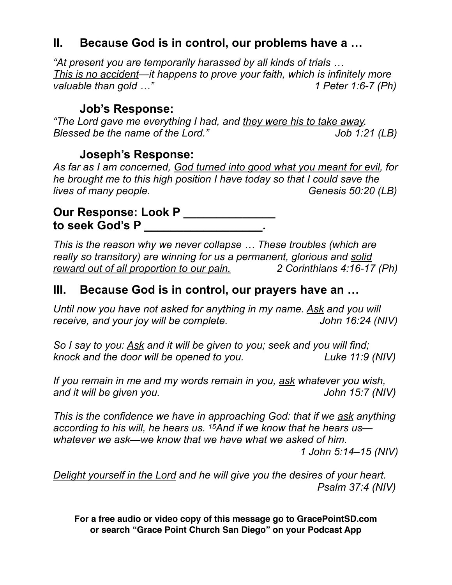#### **II. Because God is in control, our problems have a …**

*"At present you are temporarily harassed by all kinds of trials … This is no accident—it happens to prove your faith, which is infinitely more valuable than gold …" 1 Peter 1:6-7 (Ph)*

#### **Job's Response:**

*"The Lord gave me everything I had, and they were his to take away. Blessed be the name of the Lord." Job 1:21 (LB)*

#### **Joseph's Response:**

*As far as I am concerned, God turned into good what you meant for evil, for he brought me to this high position I have today so that I could save the lives of many people.* Genesis 50:20 (LB)

#### **Our Response: Look P \_\_\_\_\_\_\_\_\_\_\_\_** to seek God's P

*This is the reason why we never collapse … These troubles (which are really so transitory) are winning for us a permanent, glorious and solid reward out of all proportion to our pain. 2 Corinthians 4:16-17 (Ph)*

#### **III. Because God is in control, our prayers have an …**

*Until now you have not asked for anything in my name. Ask and you will receive, and your joy will be complete.* John 16:24 (NIV)

*So I say to you: Ask and it will be given to you; seek and you will find; knock and the door will be opened to you. Luke 11:9 (NIV)*

*If you remain in me and my words remain in you, ask whatever you wish, and it will be given you. John 15:7 (NIV)*

*This is the confidence we have in approaching God: that if we ask anything according to his will, he hears us. 15And if we know that he hears us whatever we ask—we know that we have what we asked of him. 1 John 5:14–15 (NIV)*

*Delight yourself in the Lord and he will give you the desires of your heart. Psalm 37:4 (NIV)*

**For a free audio or video copy of this message go to GracePointSD.com or search "Grace Point Church San Diego" on your Podcast App**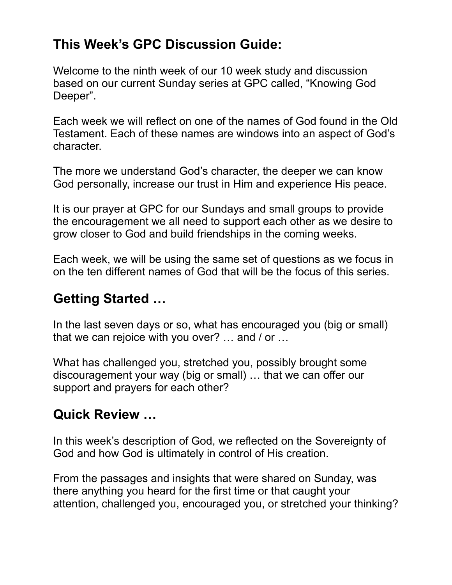## **This Week's GPC Discussion Guide:**

Welcome to the ninth week of our 10 week study and discussion based on our current Sunday series at GPC called, "Knowing God Deeper".

Each week we will reflect on one of the names of God found in the Old Testament. Each of these names are windows into an aspect of God's character.

The more we understand God's character, the deeper we can know God personally, increase our trust in Him and experience His peace.

It is our prayer at GPC for our Sundays and small groups to provide the encouragement we all need to support each other as we desire to grow closer to God and build friendships in the coming weeks.

Each week, we will be using the same set of questions as we focus in on the ten different names of God that will be the focus of this series.

## **Getting Started …**

In the last seven days or so, what has encouraged you (big or small) that we can rejoice with you over? … and / or …

What has challenged you, stretched you, possibly brought some discouragement your way (big or small) … that we can offer our support and prayers for each other?

## **Quick Review …**

In this week's description of God, we reflected on the Sovereignty of God and how God is ultimately in control of His creation.

From the passages and insights that were shared on Sunday, was there anything you heard for the first time or that caught your attention, challenged you, encouraged you, or stretched your thinking?